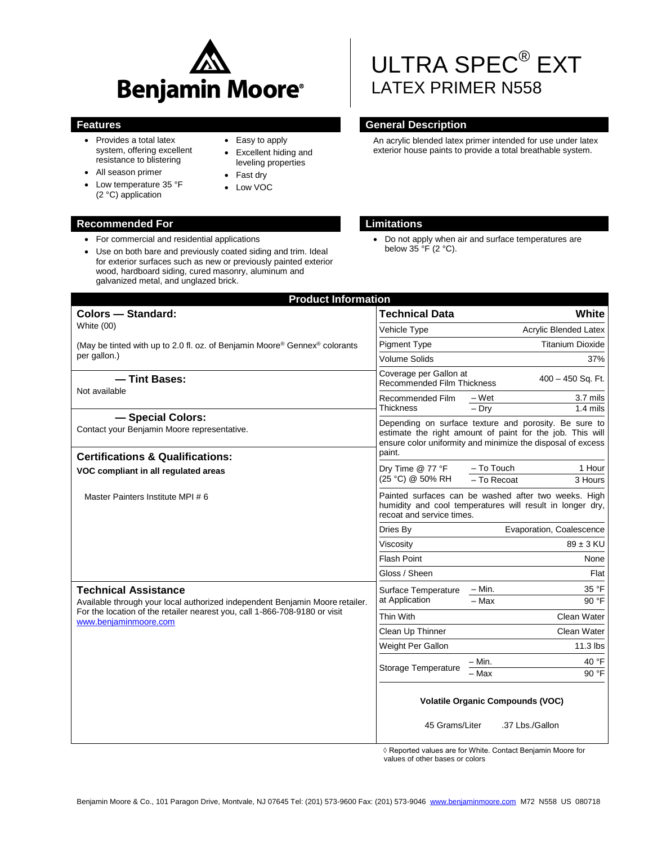

• Easy to apply Excellent hiding and leveling properties

> Fast dry Low VOC

- Provides a total latex system, offering excellent resistance to blistering
- All season primer
- Low temperature 35 °F (2 °C) application

### **Recommended For Limitations**

- For commercial and residential applications
- Use on both bare and previously coated siding and trim. Ideal for exterior surfaces such as new or previously painted exterior wood, hardboard siding, cured masonry, aluminum and galvanized metal, and unglazed brick.

# ULTRA SPEC® EXT LATEX PRIMER N558

# **Features General Description**

An acrylic blended latex primer intended for use under latex exterior house paints to provide a total breathable system.

 Do not apply when air and surface temperatures are below  $35 \,^{\circ}$ F (2 °C).

| <b>Product Information</b>                                                                                                                                                                                         |                                                                                                                                                                                             |                                                            |
|--------------------------------------------------------------------------------------------------------------------------------------------------------------------------------------------------------------------|---------------------------------------------------------------------------------------------------------------------------------------------------------------------------------------------|------------------------------------------------------------|
| <b>Colors - Standard:</b>                                                                                                                                                                                          | <b>Technical Data</b>                                                                                                                                                                       | White                                                      |
| White (00)                                                                                                                                                                                                         | Vehicle Type                                                                                                                                                                                | Acrylic Blended Latex                                      |
| (May be tinted with up to 2.0 fl. oz. of Benjamin Moore® Gennex® colorants<br>per gallon.)                                                                                                                         | <b>Pigment Type</b>                                                                                                                                                                         | <b>Titanium Dioxide</b>                                    |
|                                                                                                                                                                                                                    | <b>Volume Solids</b>                                                                                                                                                                        | 37%                                                        |
| - Tint Bases:<br>Not available                                                                                                                                                                                     | Coverage per Gallon at<br>Recommended Film Thickness                                                                                                                                        | 400 - 450 Sq. Ft.                                          |
|                                                                                                                                                                                                                    | Recommended Film<br>Thickness                                                                                                                                                               | 3.7 mils<br>$-Wet$<br>$-$ Dry<br>$1.4$ mils                |
| - Special Colors:<br>Contact your Benjamin Moore representative.                                                                                                                                                   | Depending on surface texture and porosity. Be sure to<br>estimate the right amount of paint for the job. This will<br>ensure color uniformity and minimize the disposal of excess<br>paint. |                                                            |
| <b>Certifications &amp; Qualifications:</b>                                                                                                                                                                        | Dry Time @ 77 °F<br>(25 °C) @ 50% RH                                                                                                                                                        | - To Touch<br>1 Hour                                       |
| VOC compliant in all regulated areas                                                                                                                                                                               |                                                                                                                                                                                             | - To Recoat<br>3 Hours                                     |
| Master Painters Institute MPI # 6                                                                                                                                                                                  | Painted surfaces can be washed after two weeks. High<br>humidity and cool temperatures will result in longer dry,<br>recoat and service times.                                              |                                                            |
|                                                                                                                                                                                                                    | Dries By                                                                                                                                                                                    | Evaporation, Coalescence                                   |
|                                                                                                                                                                                                                    | Viscositv                                                                                                                                                                                   | $89 \pm 3$ KU                                              |
|                                                                                                                                                                                                                    | <b>Flash Point</b>                                                                                                                                                                          | None                                                       |
|                                                                                                                                                                                                                    | Gloss / Sheen                                                                                                                                                                               | Flat                                                       |
| <b>Technical Assistance</b><br>Available through your local authorized independent Benjamin Moore retailer.<br>For the location of the retailer nearest you, call 1-866-708-9180 or visit<br>www.benjaminmoore.com | Surface Temperature<br>at Application                                                                                                                                                       | 35 °F<br>– Min.                                            |
|                                                                                                                                                                                                                    |                                                                                                                                                                                             | $-$ Max<br>90 °F                                           |
|                                                                                                                                                                                                                    | Thin With                                                                                                                                                                                   | Clean Water                                                |
|                                                                                                                                                                                                                    | Clean Up Thinner                                                                                                                                                                            | Clean Water                                                |
|                                                                                                                                                                                                                    | Weight Per Gallon                                                                                                                                                                           | $11.3$ lbs                                                 |
|                                                                                                                                                                                                                    | Storage Temperature                                                                                                                                                                         | 40 °F<br>– Min.                                            |
|                                                                                                                                                                                                                    |                                                                                                                                                                                             | 90 °F<br>$-$ Max                                           |
|                                                                                                                                                                                                                    | 45 Grams/Liter                                                                                                                                                                              | <b>Volatile Organic Compounds (VOC)</b><br>.37 Lbs./Gallon |

◊ Reported values are for White. Contact Benjamin Moore for values of other bases or colors